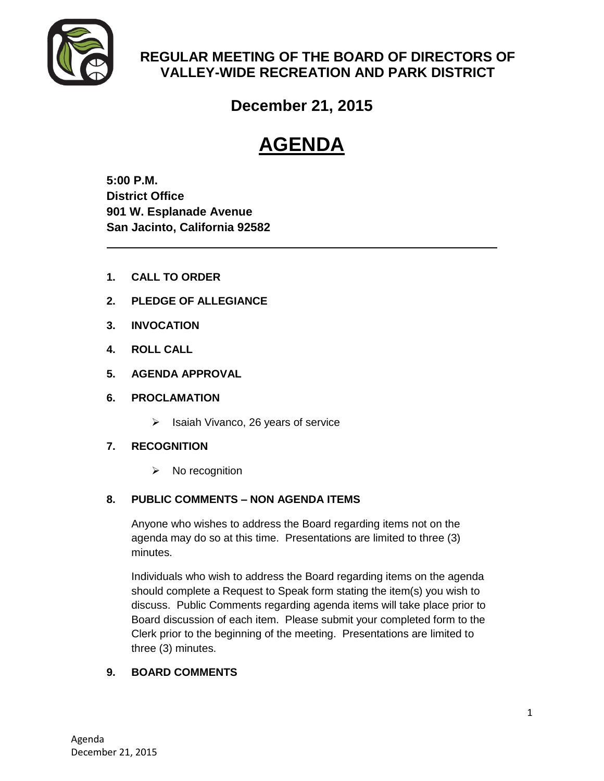

# **REGULAR MEETING OF THE BOARD OF DIRECTORS OF VALLEY-WIDE RECREATION AND PARK DISTRICT**

**December 21, 2015**

# **AGENDA**

**5:00 P.M. District Office 901 W. Esplanade Avenue San Jacinto, California 92582**

- **1. CALL TO ORDER**
- **2. PLEDGE OF ALLEGIANCE**
- **3. INVOCATION**
- **4. ROLL CALL**
- **5. AGENDA APPROVAL**
- **6. PROCLAMATION**
	- $\triangleright$  Isaiah Vivanco, 26 years of service

# **7. RECOGNITION**

 $\triangleright$  No recognition

# **8. PUBLIC COMMENTS – NON AGENDA ITEMS**

Anyone who wishes to address the Board regarding items not on the agenda may do so at this time. Presentations are limited to three (3) minutes.

Individuals who wish to address the Board regarding items on the agenda should complete a Request to Speak form stating the item(s) you wish to discuss. Public Comments regarding agenda items will take place prior to Board discussion of each item. Please submit your completed form to the Clerk prior to the beginning of the meeting. Presentations are limited to three (3) minutes.

# **9. BOARD COMMENTS**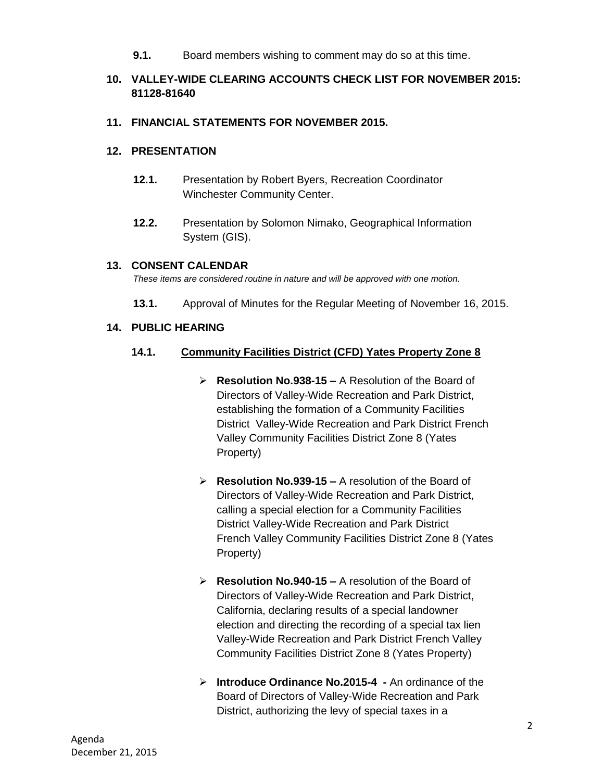**9.1.** Board members wishing to comment may do so at this time.

# **10. VALLEY-WIDE CLEARING ACCOUNTS CHECK LIST FOR NOVEMBER 2015: 81128-81640**

#### **11. FINANCIAL STATEMENTS FOR NOVEMBER 2015.**

#### **12. PRESENTATION**

- **12.1.** Presentation by Robert Byers, Recreation Coordinator Winchester Community Center.
- **12.2.** Presentation by Solomon Nimako, Geographical Information System (GIS).

#### **13. CONSENT CALENDAR**

*These items are considered routine in nature and will be approved with one motion.* 

**13.1.** Approval of Minutes for the Regular Meeting of November 16, 2015.

#### **14. PUBLIC HEARING**

#### **14.1. Community Facilities District (CFD) Yates Property Zone 8**

- **Resolution No.938-15 –** A Resolution of the Board of Directors of Valley-Wide Recreation and Park District, establishing the formation of a Community Facilities District Valley-Wide Recreation and Park District French Valley Community Facilities District Zone 8 (Yates Property)
- **Resolution No.939-15 –** A resolution of the Board of Directors of Valley-Wide Recreation and Park District, calling a special election for a Community Facilities District Valley-Wide Recreation and Park District French Valley Community Facilities District Zone 8 (Yates Property)
- **Resolution No.940-15 –** A resolution of the Board of Directors of Valley-Wide Recreation and Park District, California, declaring results of a special landowner election and directing the recording of a special tax lien Valley-Wide Recreation and Park District French Valley Community Facilities District Zone 8 (Yates Property)
- **Introduce Ordinance No.2015-4 -** An ordinance of the Board of Directors of Valley-Wide Recreation and Park District, authorizing the levy of special taxes in a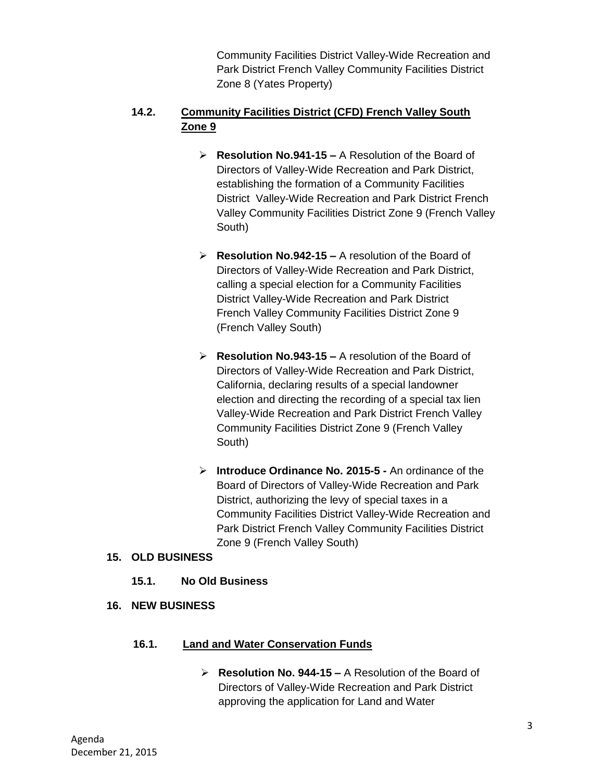Community Facilities District Valley-Wide Recreation and Park District French Valley Community Facilities District Zone 8 (Yates Property)

# **14.2. Community Facilities District (CFD) French Valley South Zone 9**

- **Resolution No.941-15 –** A Resolution of the Board of Directors of Valley-Wide Recreation and Park District, establishing the formation of a Community Facilities District Valley-Wide Recreation and Park District French Valley Community Facilities District Zone 9 (French Valley South)
- **Resolution No.942-15 –** A resolution of the Board of Directors of Valley-Wide Recreation and Park District, calling a special election for a Community Facilities District Valley-Wide Recreation and Park District French Valley Community Facilities District Zone 9 (French Valley South)
- **Resolution No.943-15 –** A resolution of the Board of Directors of Valley-Wide Recreation and Park District, California, declaring results of a special landowner election and directing the recording of a special tax lien Valley-Wide Recreation and Park District French Valley Community Facilities District Zone 9 (French Valley South)
- **Introduce Ordinance No. 2015-5 -** An ordinance of the Board of Directors of Valley-Wide Recreation and Park District, authorizing the levy of special taxes in a Community Facilities District Valley-Wide Recreation and Park District French Valley Community Facilities District Zone 9 (French Valley South)

# **15. OLD BUSINESS**

- **15.1. No Old Business**
- **16. NEW BUSINESS**

#### **16.1. Land and Water Conservation Funds**

 **Resolution No. 944-15 –** A Resolution of the Board of Directors of Valley-Wide Recreation and Park District approving the application for Land and Water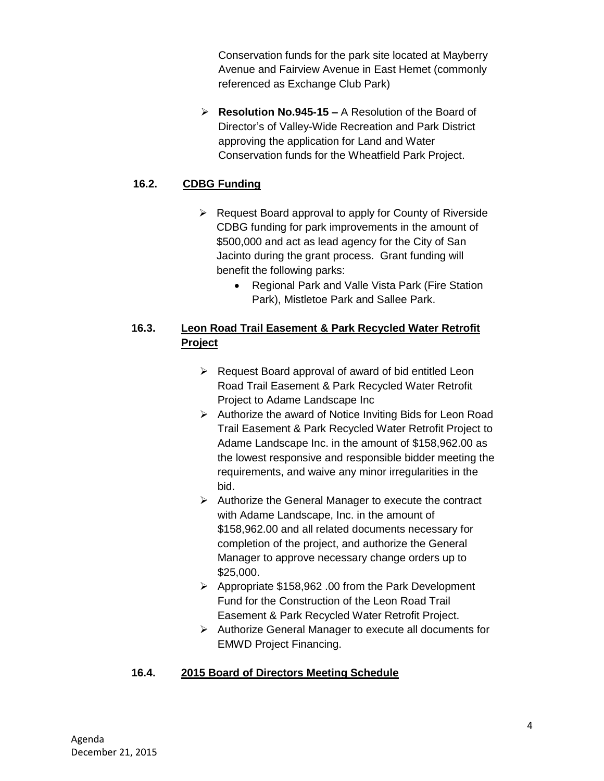Conservation funds for the park site located at Mayberry Avenue and Fairview Avenue in East Hemet (commonly referenced as Exchange Club Park)

 **Resolution No.945-15 –** A Resolution of the Board of Director's of Valley-Wide Recreation and Park District approving the application for Land and Water Conservation funds for the Wheatfield Park Project.

# **16.2. CDBG Funding**

- $\triangleright$  Request Board approval to apply for County of Riverside CDBG funding for park improvements in the amount of \$500,000 and act as lead agency for the City of San Jacinto during the grant process. Grant funding will benefit the following parks:
	- Regional Park and Valle Vista Park (Fire Station Park), Mistletoe Park and Sallee Park.

# **16.3. Leon Road Trail Easement & Park Recycled Water Retrofit Project**

- $\triangleright$  Request Board approval of award of bid entitled Leon Road Trail Easement & Park Recycled Water Retrofit Project to Adame Landscape Inc
- $\triangleright$  Authorize the award of Notice Inviting Bids for Leon Road Trail Easement & Park Recycled Water Retrofit Project to Adame Landscape Inc. in the amount of \$158,962.00 as the lowest responsive and responsible bidder meeting the requirements, and waive any minor irregularities in the bid.
- $\triangleright$  Authorize the General Manager to execute the contract with Adame Landscape, Inc. in the amount of \$158,962.00 and all related documents necessary for completion of the project, and authorize the General Manager to approve necessary change orders up to \$25,000.
- Appropriate \$158,962 .00 from the Park Development Fund for the Construction of the Leon Road Trail Easement & Park Recycled Water Retrofit Project.
- Authorize General Manager to execute all documents for EMWD Project Financing.

# **16.4. 2015 Board of Directors Meeting Schedule**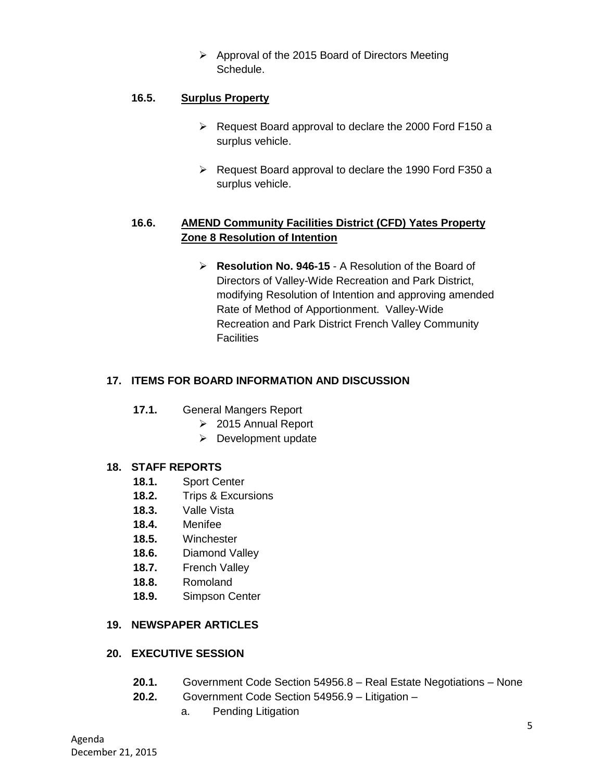$\triangleright$  Approval of the 2015 Board of Directors Meeting Schedule.

#### **16.5. Surplus Property**

- $\triangleright$  Request Board approval to declare the 2000 Ford F150 a surplus vehicle.
- $\triangleright$  Request Board approval to declare the 1990 Ford F350 a surplus vehicle.

# **16.6. AMEND Community Facilities District (CFD) Yates Property Zone 8 Resolution of Intention**

 **Resolution No. 946-15** - A Resolution of the Board of Directors of Valley-Wide Recreation and Park District, modifying Resolution of Intention and approving amended Rate of Method of Apportionment. Valley-Wide Recreation and Park District French Valley Community **Facilities** 

#### **17. ITEMS FOR BOARD INFORMATION AND DISCUSSION**

- **17.1.** General Mangers Report
	- 2015 Annual Report
	- $\triangleright$  Development update

#### **18. STAFF REPORTS**

- **18.1.** Sport Center
- **18.2.** Trips & Excursions
- **18.3.** Valle Vista
- **18.4.** Menifee
- **18.5.** Winchester
- **18.6.** Diamond Valley
- **18.7.** French Valley
- **18.8.** Romoland
- **18.9.** Simpson Center

# **19. NEWSPAPER ARTICLES**

#### **20. EXECUTIVE SESSION**

- **20.1.** Government Code Section 54956.8 Real Estate Negotiations None
- **20.2.** Government Code Section 54956.9 Litigation
	- a. Pending Litigation